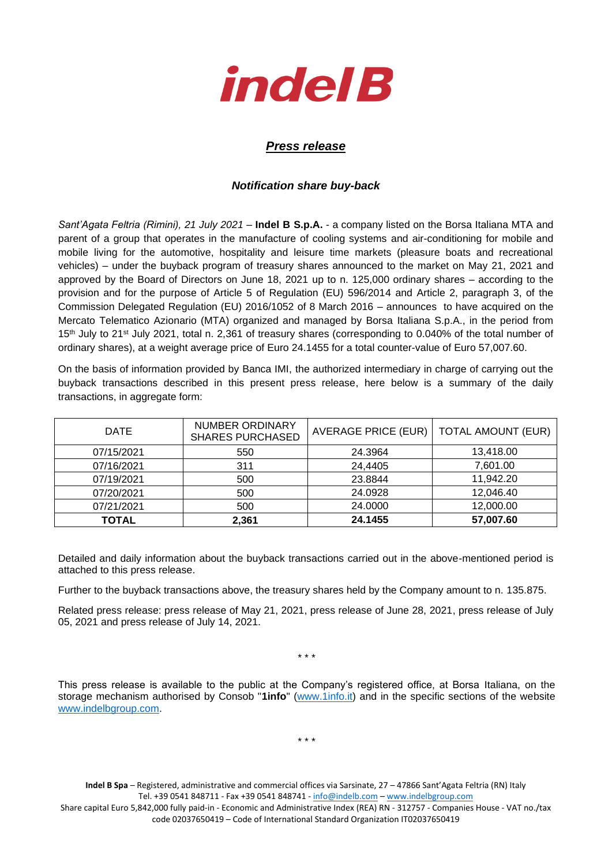

## *Press release*

## *Notification share buy-back*

*Sant'Agata Feltria (Rimini), 21 July 2021* – **Indel B S.p.A.** - a company listed on the Borsa Italiana MTA and parent of a group that operates in the manufacture of cooling systems and air-conditioning for mobile and mobile living for the automotive, hospitality and leisure time markets (pleasure boats and recreational vehicles) – under the buyback program of treasury shares announced to the market on May 21, 2021 and approved by the Board of Directors on June 18, 2021 up to n. 125,000 ordinary shares – according to the provision and for the purpose of Article 5 of Regulation (EU) 596/2014 and Article 2, paragraph 3, of the Commission Delegated Regulation (EU) 2016/1052 of 8 March 2016 – announces to have acquired on the Mercato Telematico Azionario (MTA) organized and managed by Borsa Italiana S.p.A., in the period from 15<sup>th</sup> July to 21<sup>st</sup> July 2021, total n. 2,361 of treasury shares (corresponding to 0.040% of the total number of ordinary shares), at a weight average price of Euro 24.1455 for a total counter-value of Euro 57,007.60.

On the basis of information provided by Banca IMI, the authorized intermediary in charge of carrying out the buyback transactions described in this present press release, here below is a summary of the daily transactions, in aggregate form:

| <b>DATE</b>  | <b>NUMBER ORDINARY</b><br><b>SHARES PURCHASED</b> | <b>AVERAGE PRICE (EUR)</b> | <b>TOTAL AMOUNT (EUR)</b> |
|--------------|---------------------------------------------------|----------------------------|---------------------------|
| 07/15/2021   | 550                                               | 24.3964                    | 13,418.00                 |
| 07/16/2021   | 311                                               | 24,4405                    | 7,601.00                  |
| 07/19/2021   | 500                                               | 23.8844                    | 11,942.20                 |
| 07/20/2021   | 500                                               | 24.0928                    | 12,046.40                 |
| 07/21/2021   | 500                                               | 24.0000                    | 12,000.00                 |
| <b>TOTAL</b> | 2,361                                             | 24.1455                    | 57,007.60                 |

Detailed and daily information about the buyback transactions carried out in the above-mentioned period is attached to this press release.

Further to the buyback transactions above, the treasury shares held by the Company amount to n. 135.875.

Related press release: press release of May 21, 2021, press release of June 28, 2021, press release of July 05, 2021 and press release of July 14, 2021.

\* \* \*

This press release is available to the public at the Company's registered office, at Borsa Italiana, on the storage mechanism authorised by Consob "**1info**" [\(www.1info.it\)](file:///C:/Users/ddelietovollaro/AppData/Local/Microsoft/Windows/INetCache/Content.Outlook/T87B94UR/www.1info.it) and in the specific sections of the website [www.indelbgroup.com.](http://www.indelbgroup.com/)

\* \* \*

**Indel B Spa** – Registered, administrative and commercial offices via Sarsinate, 27 – 47866 Sant'Agata Feltria (RN) Italy Tel. +39 0541 848711 - Fax +39 0541 848741 - [info@indelb.com](mailto:info@indelb.com) – [www.indelbgroup.com](http://www.indelbgroup.com/) Share capital Euro 5,842,000 fully paid-in - Economic and Administrative Index (REA) RN - 312757 - Companies House - VAT no./tax

code 02037650419 – Code of International Standard Organization IT02037650419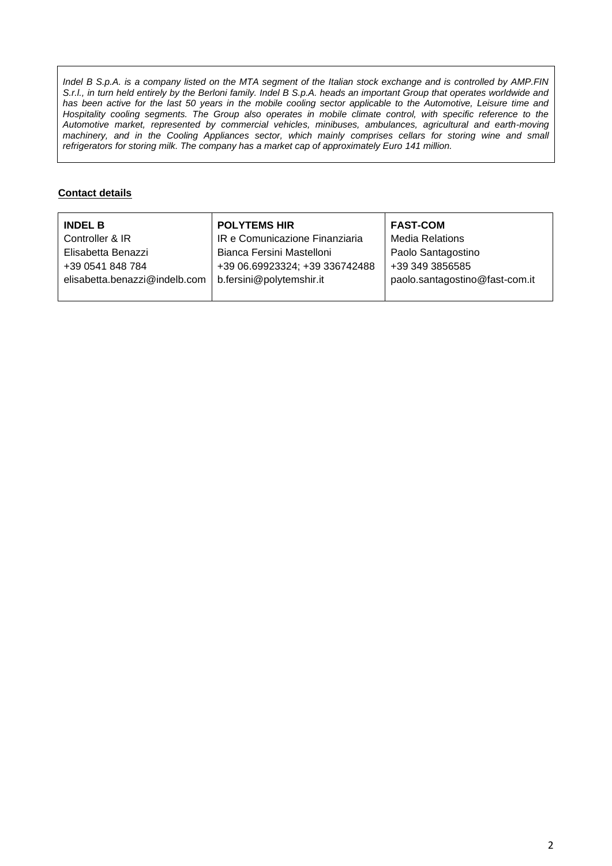*Indel B S.p.A. is a company listed on the MTA segment of the Italian stock exchange and is controlled by AMP.FIN S.r.l., in turn held entirely by the Berloni family. Indel B S.p.A. heads an important Group that operates worldwide and* has been active for the last 50 years in the mobile cooling sector applicable to the Automotive, Leisure time and Hospitality cooling segments. The Group also operates in mobile climate control, with specific reference to the *Automotive market, represented by commercial vehicles, minibuses, ambulances, agricultural and earth-moving machinery, and in the Cooling Appliances sector, which mainly comprises cellars for storing wine and small refrigerators for storing milk. The company has a market cap of approximately Euro 141 million.*

## **Contact details**

| <b>INDEL B</b>                | <b>POLYTEMS HIR</b>            | <b>FAST-COM</b>                |
|-------------------------------|--------------------------------|--------------------------------|
| Controller & IR               | IR e Comunicazione Finanziaria | <b>Media Relations</b>         |
| Elisabetta Benazzi            | Bianca Fersini Mastelloni      | Paolo Santagostino             |
| +39 0541 848 784              | +39 06.69923324; +39 336742488 | +39 349 3856585                |
| elisabetta.benazzi@indelb.com | b.fersini@polytemshir.it       | paolo.santagostino@fast-com.it |
|                               |                                |                                |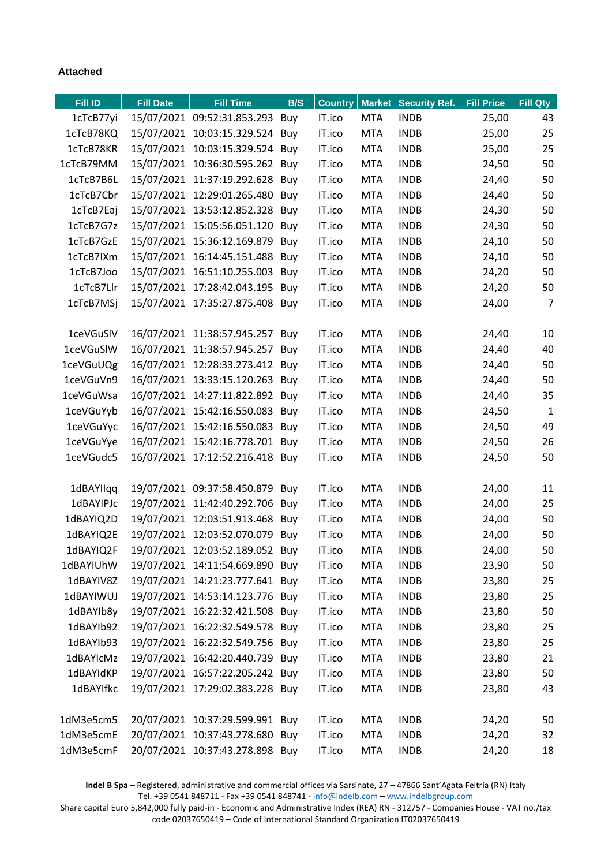## **Attached**

| <b>Fill ID</b> | <b>Fill Date</b> | <b>Fill Time</b>                | B/S | <b>Country</b> |            | Market   Security Ref. | <b>Fill Price</b> | Fill Qty       |
|----------------|------------------|---------------------------------|-----|----------------|------------|------------------------|-------------------|----------------|
| 1cTcB77yi      |                  | 15/07/2021 09:52:31.853.293 Buy |     | IT.ico         | <b>MTA</b> | <b>INDB</b>            | 25,00             | 43             |
| 1cTcB78KQ      |                  | 15/07/2021 10:03:15.329.524 Buy |     | IT.ico         | <b>MTA</b> | <b>INDB</b>            | 25,00             | 25             |
| 1cTcB78KR      |                  | 15/07/2021 10:03:15.329.524 Buy |     | IT.ico         | <b>MTA</b> | <b>INDB</b>            | 25,00             | 25             |
| 1cTcB79MM      |                  | 15/07/2021 10:36:30.595.262 Buy |     | IT.ico         | <b>MTA</b> | <b>INDB</b>            | 24,50             | 50             |
| 1cTcB7B6L      |                  | 15/07/2021 11:37:19.292.628 Buy |     | IT.ico         | <b>MTA</b> | <b>INDB</b>            | 24,40             | 50             |
| 1cTcB7Cbr      |                  | 15/07/2021 12:29:01.265.480 Buy |     | IT.ico         | <b>MTA</b> | <b>INDB</b>            | 24,40             | 50             |
| 1cTcB7Eaj      |                  | 15/07/2021 13:53:12.852.328 Buy |     | IT.ico         | <b>MTA</b> | <b>INDB</b>            | 24,30             | 50             |
| 1cTcB7G7z      |                  | 15/07/2021 15:05:56.051.120 Buy |     | IT.ico         | <b>MTA</b> | <b>INDB</b>            | 24,30             | 50             |
| 1cTcB7GzE      |                  | 15/07/2021 15:36:12.169.879 Buy |     | IT.ico         | <b>MTA</b> | <b>INDB</b>            | 24,10             | 50             |
| 1cTcB7IXm      |                  | 15/07/2021 16:14:45.151.488 Buy |     | IT.ico         | <b>MTA</b> | <b>INDB</b>            | 24,10             | 50             |
| 1cTcB7Joo      |                  | 15/07/2021 16:51:10.255.003 Buy |     | IT.ico         | <b>MTA</b> | <b>INDB</b>            | 24,20             | 50             |
| 1cTcB7Llr      |                  | 15/07/2021 17:28:42.043.195 Buy |     | IT.ico         | <b>MTA</b> | <b>INDB</b>            | 24,20             | 50             |
| 1cTcB7MSj      |                  | 15/07/2021 17:35:27.875.408 Buy |     | IT.ico         | <b>MTA</b> | <b>INDB</b>            | 24,00             | $\overline{7}$ |
|                |                  |                                 |     |                |            |                        |                   |                |
| 1ceVGuSIV      |                  | 16/07/2021 11:38:57.945.257 Buy |     | IT.ico         | <b>MTA</b> | <b>INDB</b>            | 24,40             | 10             |
| 1ceVGuSIW      |                  | 16/07/2021 11:38:57.945.257 Buy |     | IT.ico         | <b>MTA</b> | <b>INDB</b>            | 24,40             | 40             |
| 1ceVGuUQg      |                  | 16/07/2021 12:28:33.273.412 Buy |     | IT.ico         | <b>MTA</b> | <b>INDB</b>            | 24,40             | 50             |
| 1ceVGuVn9      |                  | 16/07/2021 13:33:15.120.263 Buy |     | IT.ico         | <b>MTA</b> | <b>INDB</b>            | 24,40             | 50             |
| 1ceVGuWsa      |                  | 16/07/2021 14:27:11.822.892 Buy |     | IT.ico         | <b>MTA</b> | <b>INDB</b>            | 24,40             | 35             |
| 1ceVGuYyb      |                  | 16/07/2021 15:42:16.550.083 Buy |     | IT.ico         | <b>MTA</b> | <b>INDB</b>            | 24,50             | $\mathbf{1}$   |
| 1ceVGuYyc      |                  | 16/07/2021 15:42:16.550.083 Buy |     | IT.ico         | <b>MTA</b> | <b>INDB</b>            | 24,50             | 49             |
| 1ceVGuYye      |                  | 16/07/2021 15:42:16.778.701 Buy |     | IT.ico         | <b>MTA</b> | <b>INDB</b>            | 24,50             | 26             |
| 1ceVGudc5      |                  | 16/07/2021 17:12:52.216.418 Buy |     | IT.ico         | <b>MTA</b> | <b>INDB</b>            | 24,50             | 50             |
|                |                  |                                 |     |                |            |                        |                   |                |
| 1dBAYIIqq      |                  | 19/07/2021 09:37:58.450.879     | Buy | IT.ico         | <b>MTA</b> | <b>INDB</b>            | 24,00             | 11             |
| 1dBAYIPJc      |                  | 19/07/2021 11:42:40.292.706     | Buy | IT.ico         | <b>MTA</b> | <b>INDB</b>            | 24,00             | 25             |
| 1dBAYIQ2D      |                  | 19/07/2021 12:03:51.913.468 Buy |     | IT.ico         | <b>MTA</b> | <b>INDB</b>            | 24,00             | 50             |
| 1dBAYIQ2E      |                  | 19/07/2021 12:03:52.070.079     | Buy | IT.ico         | <b>MTA</b> | <b>INDB</b>            | 24,00             | 50             |
| 1dBAYIQ2F      |                  | 19/07/2021 12:03:52.189.052 Buy |     | IT.ico         | <b>MTA</b> | <b>INDB</b>            | 24,00             | 50             |
| 1dBAYIUhW      |                  | 19/07/2021 14:11:54.669.890 Buy |     | IT.ico         | <b>MTA</b> | <b>INDB</b>            | 23,90             | 50             |
| 1dBAYIV8Z      |                  | 19/07/2021 14:21:23.777.641 Buy |     | IT.ico         | <b>MTA</b> | <b>INDB</b>            | 23,80             | 25             |
| 1dBAYIWUJ      |                  | 19/07/2021 14:53:14.123.776 Buy |     | IT.ico         | <b>MTA</b> | <b>INDB</b>            | 23,80             | 25             |
| 1dBAYIb8y      |                  | 19/07/2021 16:22:32.421.508 Buy |     | IT.ico         | <b>MTA</b> | <b>INDB</b>            | 23,80             | 50             |
| 1dBAYIb92      |                  | 19/07/2021 16:22:32.549.578 Buy |     | IT.ico         | <b>MTA</b> | <b>INDB</b>            | 23,80             | 25             |
| 1dBAYIb93      |                  | 19/07/2021 16:22:32.549.756 Buy |     | IT.ico         | <b>MTA</b> | <b>INDB</b>            | 23,80             | 25             |
| 1dBAYIcMz      |                  | 19/07/2021 16:42:20.440.739 Buy |     | IT.ico         | <b>MTA</b> | <b>INDB</b>            | 23,80             | 21             |
| 1dBAYIdKP      |                  | 19/07/2021 16:57:22.205.242 Buy |     | IT.ico         | <b>MTA</b> | <b>INDB</b>            | 23,80             | 50             |
| 1dBAYIfkc      |                  | 19/07/2021 17:29:02.383.228 Buy |     | IT.ico         | <b>MTA</b> | <b>INDB</b>            | 23,80             | 43             |
|                |                  |                                 |     |                |            |                        |                   |                |
| 1dM3e5cm5      |                  | 20/07/2021 10:37:29.599.991 Buy |     | IT.ico         | <b>MTA</b> | <b>INDB</b>            | 24,20             | 50             |
| 1dM3e5cmE      |                  | 20/07/2021 10:37:43.278.680 Buy |     | IT.ico         | <b>MTA</b> | <b>INDB</b>            | 24,20             | 32             |
| 1dM3e5cmF      |                  | 20/07/2021 10:37:43.278.898 Buy |     | IT.ico         | <b>MTA</b> | <b>INDB</b>            | 24,20             | 18             |

**Indel B Spa** – Registered, administrative and commercial offices via Sarsinate, 27 – 47866 Sant'Agata Feltria (RN) Italy Tel. +39 0541 848711 - Fax +39 0541 848741 - [info@indelb.com](mailto:info@indelb.com) – [www.indelbgroup.com](http://www.indelbgroup.com/)

Share capital Euro 5,842,000 fully paid-in - Economic and Administrative Index (REA) RN - 312757 - Companies House - VAT no./tax code 02037650419 – Code of International Standard Organization IT02037650419